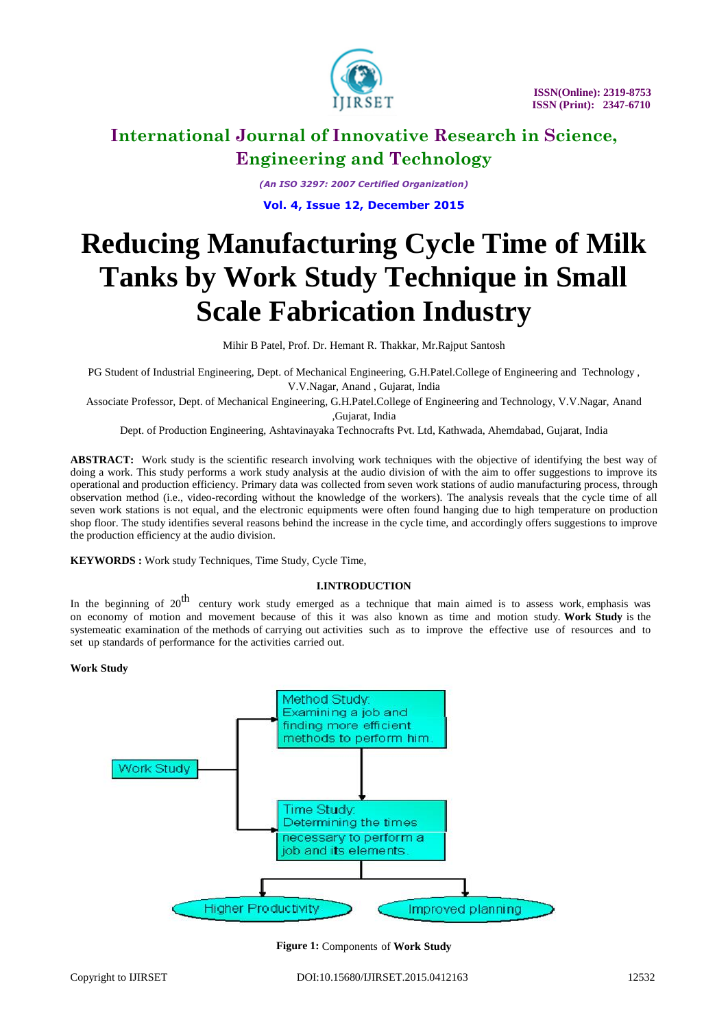

*(An ISO 3297: 2007 Certified Organization)* **Vol. 4, Issue 12, December 2015**

# **Reducing Manufacturing Cycle Time of Milk Tanks by Work Study Technique in Small Scale Fabrication Industry**

Mihir B Patel, Prof. Dr. Hemant R. Thakkar, Mr.Rajput Santosh

PG Student of Industrial Engineering, Dept. of Mechanical Engineering, G.H.Patel.College of Engineering and Technology , V.V.Nagar, Anand , Gujarat, India

Associate Professor, Dept. of Mechanical Engineering, G.H.Patel.College of Engineering and Technology, V.V.Nagar, Anand ,Gujarat, India

Dept. of Production Engineering, Ashtavinayaka Technocrafts Pvt. Ltd, Kathwada, Ahemdabad, Gujarat, India

**ABSTRACT:** Work study is the scientific research involving work techniques with the objective of identifying the best way of doing a work. This study performs a work study analysis at the audio division of with the aim to offer suggestions to improve its operational and production efficiency. Primary data was collected from seven work stations of audio manufacturing process, through observation method (i.e., video-recording without the knowledge of the workers). The analysis reveals that the cycle time of all seven work stations is not equal, and the electronic equipments were often found hanging due to high temperature on production shop floor. The study identifies several reasons behind the increase in the cycle time, and accordingly offers suggestions to improve the production efficiency at the audio division.

**KEYWORDS :** Work study Techniques, Time Study, Cycle Time,

#### **I.INTRODUCTION**

In the beginning of  $20^{th}$  century work study emerged as a technique that main aimed is to assess work, emphasis was on economy of motion and movement because of this it was also known as time and motion study. **Work Study** is the systemeatic examination of the methods of carrying out activities such as to improve the effective use of resources and to set up standards of performance for the activities carried out.

#### **Work Study**



**Figure 1:** Components of **Work Study**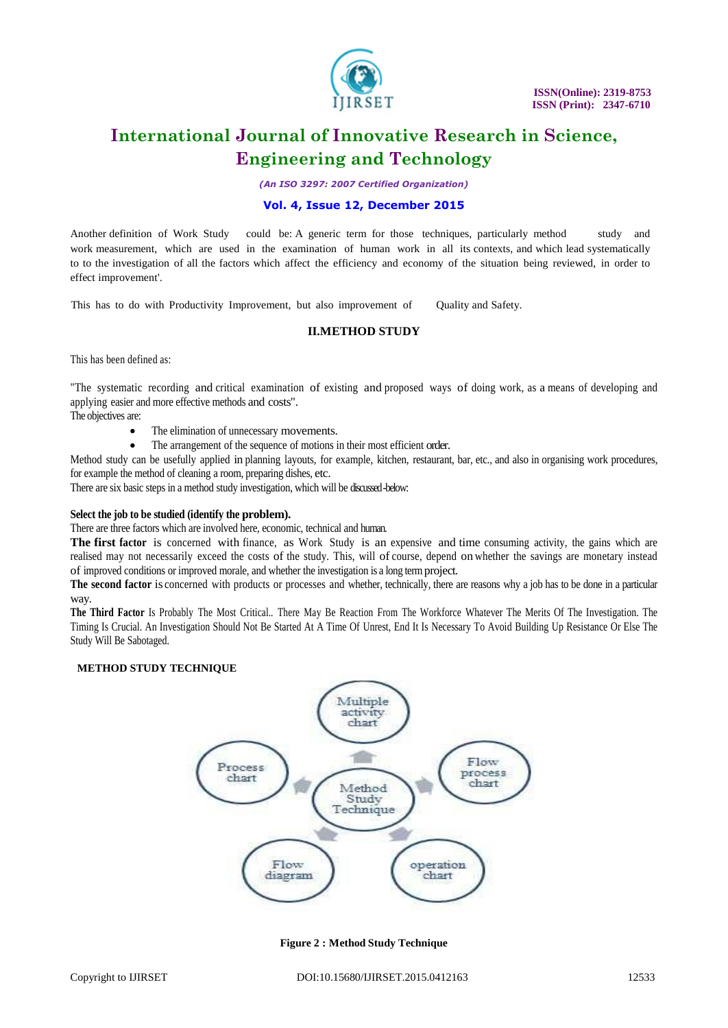

*(An ISO 3297: 2007 Certified Organization)*

### **Vol. 4, Issue 12, December 2015**

Another definition of Work Study could be: A generic term for those techniques, particularly method study and work measurement, which are used in the examination of human work in all its contexts, and which lead systematically to to the investigation of all the factors which affect the efficiency and economy of the situation being reviewed, in order to effect improvement'.

This has to do with Productivity Improvement, but also improvement of Quality and Safety.

### **II.METHOD STUDY**

This has been defined as:

"The systematic recording and critical examination of existing and proposed ways of doing work, as a means of developing and applying easier and more effective methods and costs".

The objectives are:

- The elimination of unnecessary movements.
- The arrangement of the sequence of motions in their most efficient order.

Method study can be usefully applied in planning layouts, for example, kitchen, restaurant, bar, etc., and also in organising work procedures, for example the method of cleaning a room, preparing dishes, etc.

There are six basic steps in a method study investigation, which will be discussed-below:

#### **Select the job to be studied (identify the problem).**

There are three factors which are involved here, economic, technical and human.

**The first factor** is concerned with finance, as Work Study is an expensive and time consuming activity, the gains which are realised may not necessarily exceed the costs of the study. This, will of course, depend on whether the savings are monetary instead of improved conditions or improved morale, and whether the investigation is a long term project.

**The second factor** is concerned with products or processes and whether, technically, there are reasons why a job has to be done in a particular way.

**The Third Factor** Is Probably The Most Critical.. There May Be Reaction From The Workforce Whatever The Merits Of The Investigation. The Timing Is Crucial. An Investigation Should Not Be Started At A Time Of Unrest, End It Is Necessary To Avoid Building Up Resistance Or Else The Study Will Be Sabotaged.

### **METHOD STUDY TECHNIQUE**



**Figure 2 : Method Study Technique**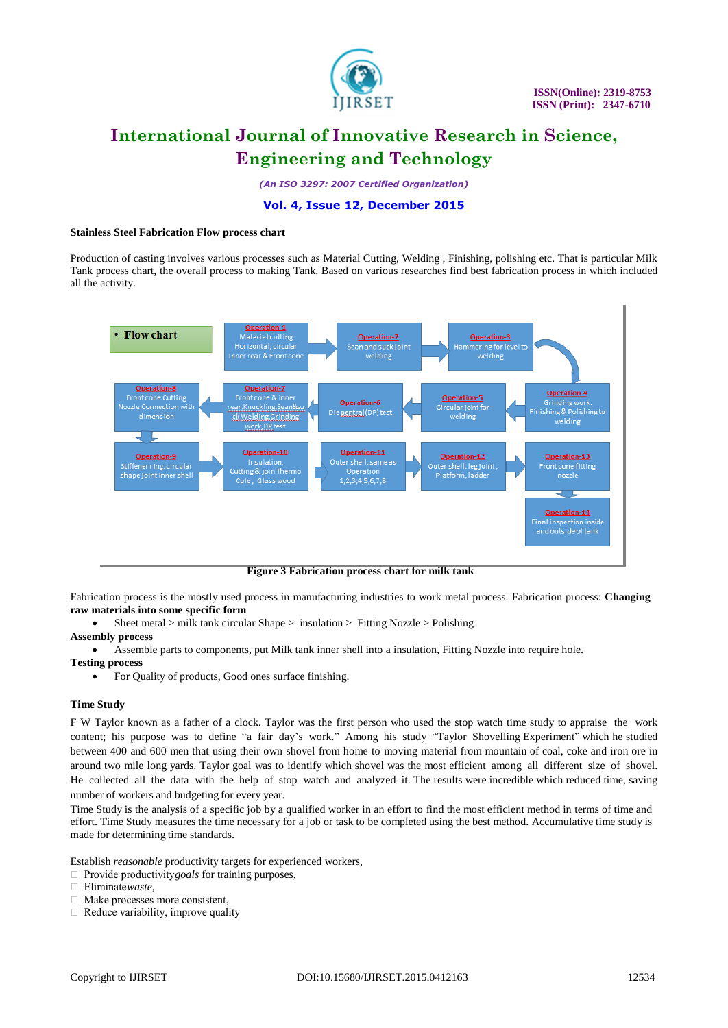

*(An ISO 3297: 2007 Certified Organization)*

# **Vol. 4, Issue 12, December 2015**

#### **Stainless Steel Fabrication Flow process chart**

Production of casting involves various processes such as Material Cutting, Welding , Finishing, polishing etc. That is particular Milk Tank process chart, the overall process to making Tank. Based on various researches find best fabrication process in which included all the activity.



**Figure 3 Fabrication process chart for milk tank**

Fabrication process is the mostly used process in manufacturing industries to work metal process. Fabrication process: **Changing raw materials into some specific form** 

- Sheet metal > milk tank circular Shape > insulation > Fitting Nozzle > Polishing
- **Assembly process**
	- Assemble parts to components, put Milk tank inner shell into a insulation, Fitting Nozzle into require hole.
- **Testing process**
	- For Quality of products, Good ones surface finishing.

#### **Time Study**

F W Taylor known as a father of a clock. Taylor was the first person who used the stop watch time study to appraise the work content; his purpose was to define "a fair day's work." Among his study "Taylor Shovelling Experiment" which he studied between 400 and 600 men that using their own shovel from home to moving material from mountain of coal, coke and iron ore in around two mile long yards. Taylor goal was to identify which shovel was the most efficient among all different size of shovel. He collected all the data with the help of stop watch and analyzed it. The results were incredible which reduced time, saving number of workers and budgeting for every year.

Time Study is the analysis of a specific job by a qualified worker in an effort to find the most efficient method in terms of time and effort. Time Study measures the time necessary for a job or task to be completed using the best method. Accumulative time study is made for determining time standards.

Establish *reasonable* productivity targets for experienced workers,

□ Provide productivity *goals* for training purposes,

Eliminate *waste*,

- Make processes more consistent,
- $\Box$  Reduce variability, improve quality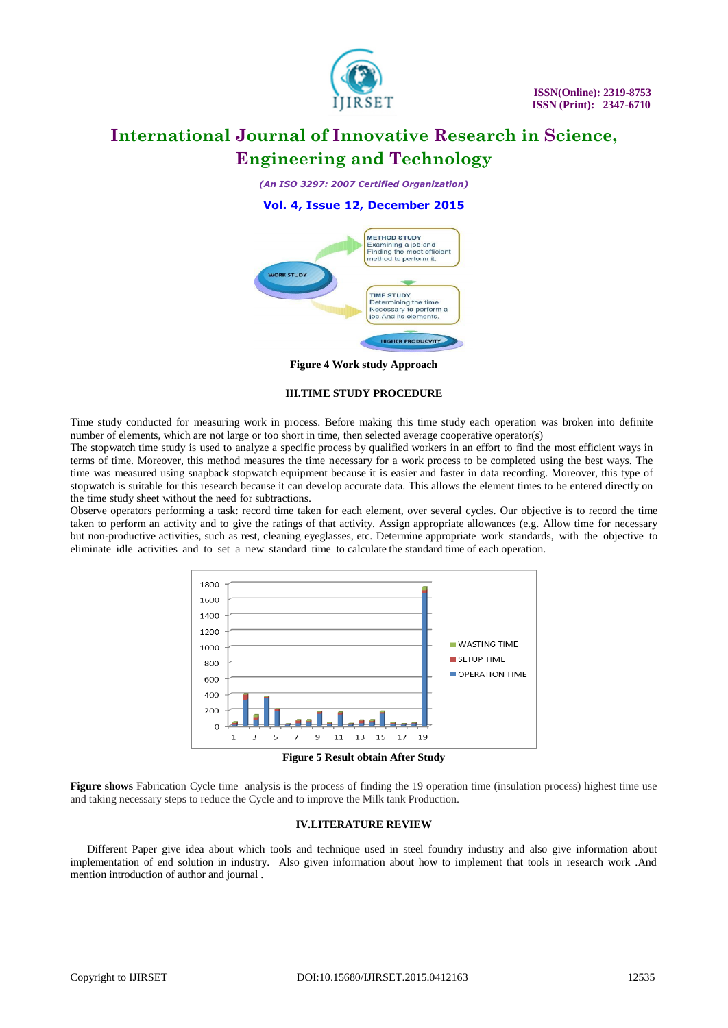

*(An ISO 3297: 2007 Certified Organization)*

### **Vol. 4, Issue 12, December 2015**



**Figure 4 Work study Approach**

#### **III.TIME STUDY PROCEDURE**

Time study conducted for measuring work in process. Before making this time study each operation was broken into definite number of elements, which are not large or too short in time, then selected average cooperative operator(s)

The stopwatch time study is used to analyze a specific process by qualified workers in an effort to find the most efficient ways in terms of time. Moreover, this method measures the time necessary for a work process to be completed using the best ways. The time was measured using snapback stopwatch equipment because it is easier and faster in data recording. Moreover, this type of stopwatch is suitable for this research because it can develop accurate data. This allows the element times to be entered directly on the time study sheet without the need for subtractions.

Observe operators performing a task: record time taken for each element, over several cycles. Our objective is to record the time taken to perform an activity and to give the ratings of that activity. Assign appropriate allowances (e.g. Allow time for necessary but non-productive activities, such as rest, cleaning eyeglasses, etc. Determine appropriate work standards, with the objective to eliminate idle activities and to set a new standard time to calculate the standard time of each operation.



**Figure 5 Result obtain After Study**

Figure shows Fabrication Cycle time analysis is the process of finding the 19 operation time (insulation process) highest time use and taking necessary steps to reduce the Cycle and to improve the Milk tank Production.

#### **IV.LITERATURE REVIEW**

 Different Paper give idea about which tools and technique used in steel foundry industry and also give information about implementation of end solution in industry. Also given information about how to implement that tools in research work .And mention introduction of author and journal .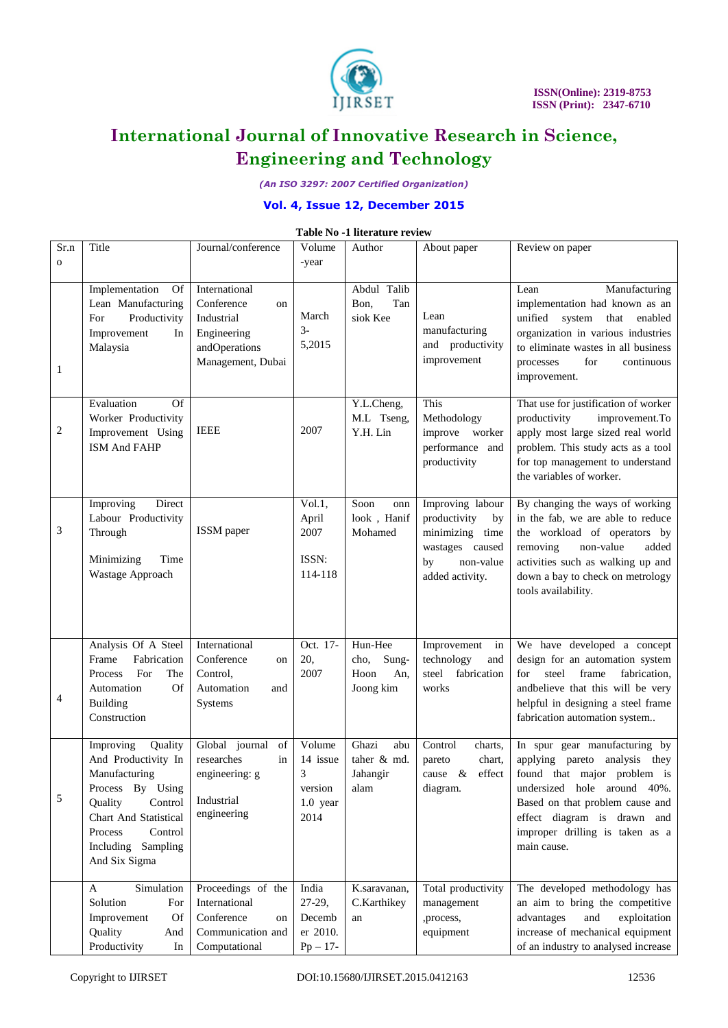

*(An ISO 3297: 2007 Certified Organization)*

# **Vol. 4, Issue 12, December 2015**

## **Table No -1 literature review**

| Sr.n         | Title                                                                                                                                                                                        | Journal/conference                                                                                   | Volume                                                 | Author                                               | About paper                                                                                                        | Review on paper                                                                                                                                                                                                                                  |
|--------------|----------------------------------------------------------------------------------------------------------------------------------------------------------------------------------------------|------------------------------------------------------------------------------------------------------|--------------------------------------------------------|------------------------------------------------------|--------------------------------------------------------------------------------------------------------------------|--------------------------------------------------------------------------------------------------------------------------------------------------------------------------------------------------------------------------------------------------|
| $\mathbf{o}$ |                                                                                                                                                                                              |                                                                                                      | -year                                                  |                                                      |                                                                                                                    |                                                                                                                                                                                                                                                  |
|              |                                                                                                                                                                                              |                                                                                                      |                                                        |                                                      |                                                                                                                    |                                                                                                                                                                                                                                                  |
| 1            | Implementation<br><b>Of</b><br>Lean Manufacturing<br>For<br>Productivity<br>Improvement<br>In<br>Malaysia                                                                                    | International<br>Conference<br>on<br>Industrial<br>Engineering<br>andOperations<br>Management, Dubai | March<br>$3-$<br>5,2015                                | Abdul Talib<br>Tan<br>Bon,<br>siok Kee               | Lean<br>manufacturing<br>and productivity<br>improvement                                                           | Manufacturing<br>Lean<br>implementation had known as an<br>unified system<br>that<br>enabled<br>organization in various industries<br>to eliminate wastes in all business<br>for<br>processes<br>continuous<br>improvement.                      |
| 2            | Evaluation<br>Of<br>Worker Productivity<br>Improvement Using<br>ISM And FAHP                                                                                                                 | <b>IEEE</b>                                                                                          | 2007                                                   | Y.L.Cheng,<br>M.L Tseng,<br>Y.H. Lin                 | This<br>Methodology<br>improve worker<br>performance and<br>productivity                                           | That use for justification of worker<br>productivity<br>improvement.To<br>apply most large sized real world<br>problem. This study acts as a tool<br>for top management to understand<br>the variables of worker.                                |
| 3            | Improving<br>Direct<br>Labour Productivity<br>Through<br>Minimizing<br>Time<br>Wastage Approach                                                                                              | ISSM paper                                                                                           | Vol.1,<br>April<br>2007<br>ISSN:<br>114-118            | Soon<br>onn<br>look, Hanif<br>Mohamed                | Improving labour<br>productivity<br>by<br>minimizing time<br>wastages caused<br>non-value<br>by<br>added activity. | By changing the ways of working<br>in the fab, we are able to reduce<br>the workload of operators by<br>removing<br>non-value<br>added<br>activities such as walking up and<br>down a bay to check on metrology<br>tools availability.           |
| 4            | Analysis Of A Steel<br>Frame<br>Fabrication<br>For<br>The<br>Process<br>Of<br>Automation<br><b>Building</b><br>Construction                                                                  | International<br>Conference<br>on<br>Control,<br>Automation<br>and<br>Systems                        | Oct. 17-<br>20,<br>2007                                | Hun-Hee<br>Sung-<br>cho,<br>Hoon<br>An,<br>Joong kim | Improvement<br>in<br>technology<br>and<br>steel<br>fabrication<br>works                                            | We have developed a concept<br>design for an automation system<br>steel<br>frame<br>fabrication,<br>for<br>andbelieve that this will be very<br>helpful in designing a steel frame<br>fabrication automation system                              |
| 5            | Improving<br>Quality<br>And Productivity In<br>Manufacturing<br>Process By Using<br>Control<br>Quality<br>Chart And Statistical<br>Control<br>Process<br>Including Sampling<br>And Six Sigma | Global journal<br>of<br>researches<br>in<br>engineering: g<br>Industrial<br>engineering              | Volume<br>14 issue<br>3<br>version<br>1.0 year<br>2014 | Ghazi<br>abu<br>taher & md.<br>Jahangir<br>alam      | Control<br>charts,<br>chart,<br>pareto<br>$\&$<br>effect<br>cause<br>diagram.                                      | In spur gear manufacturing by<br>applying pareto analysis they<br>found that major problem is<br>undersized hole around 40%.<br>Based on that problem cause and<br>effect diagram is drawn and<br>improper drilling is taken as a<br>main cause. |
|              | Simulation<br>A<br>Solution<br>For<br>Of<br>Improvement<br>Quality<br>And<br>Productivity<br>In                                                                                              | Proceedings of the<br>International<br>Conference<br>on<br>Communication and<br>Computational        | India<br>$27-29,$<br>Decemb<br>er 2010.<br>$Pp - 17-$  | K.saravanan,<br>C.Karthikey<br>an                    | Total productivity<br>management<br>,process,<br>equipment                                                         | The developed methodology has<br>an aim to bring the competitive<br>exploitation<br>advantages<br>and<br>increase of mechanical equipment<br>of an industry to analysed increase                                                                 |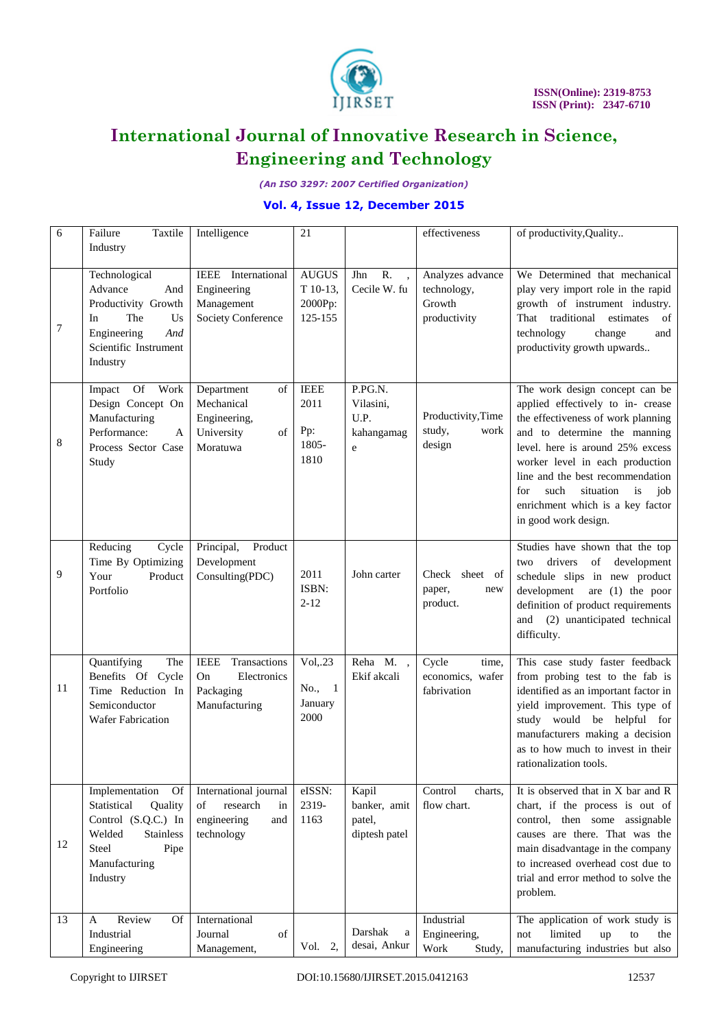

*(An ISO 3297: 2007 Certified Organization)*

# **Vol. 4, Issue 12, December 2015**

| 6  | Failure<br>Taxtile                                                                                                                                       | Intelligence                                                                      | 21                                                 |                                                  | effectiveness                                             | of productivity, Quality                                                                                                                                                                                                                                                                                                                                  |
|----|----------------------------------------------------------------------------------------------------------------------------------------------------------|-----------------------------------------------------------------------------------|----------------------------------------------------|--------------------------------------------------|-----------------------------------------------------------|-----------------------------------------------------------------------------------------------------------------------------------------------------------------------------------------------------------------------------------------------------------------------------------------------------------------------------------------------------------|
|    | Industry                                                                                                                                                 |                                                                                   |                                                    |                                                  |                                                           |                                                                                                                                                                                                                                                                                                                                                           |
| 7  | Technological<br>Advance<br>And<br>Productivity Growth<br>In<br>The<br>Us<br>Engineering<br>And<br>Scientific Instrument<br>Industry                     | IEEE International<br>Engineering<br>Management<br>Society Conference             | <b>AUGUS</b><br>T 10-13,<br>2000Pp:<br>125-155     | R.<br>Jhn<br>Cecile W. fu                        | Analyzes advance<br>technology,<br>Growth<br>productivity | We Determined that mechanical<br>play very import role in the rapid<br>growth of instrument industry.<br>estimates<br>That traditional<br>of<br>technology<br>change<br>and<br>productivity growth upwards                                                                                                                                                |
| 8  | Of Work<br>Impact<br>Design Concept On<br>Manufacturing<br>Performance:<br>A<br>Process Sector Case<br>Study                                             | Department<br>of<br>Mechanical<br>Engineering,<br>University<br>of<br>Moratuwa    | <b>IEEE</b><br>2011<br>Pp:<br>1805-<br>1810        | P.PG.N.<br>Vilasini,<br>U.P.<br>kahangamag<br>e  | Productivity, Time<br>study,<br>work<br>design            | The work design concept can be<br>applied effectively to in- crease<br>the effectiveness of work planning<br>and to determine the manning<br>level. here is around 25% excess<br>worker level in each production<br>line and the best recommendation<br>such<br>situation<br>for<br>job<br>is<br>enrichment which is a key factor<br>in good work design. |
| 9  | Reducing<br>Cycle<br>Time By Optimizing<br>Your<br>Product<br>Portfolio                                                                                  | Principal,<br>Product<br>Development<br>Consulting(PDC)                           | 2011<br>ISBN:<br>$2 - 12$                          | John carter                                      | Check sheet of<br>paper,<br>new<br>product.               | Studies have shown that the top<br>drivers of<br>development<br>two<br>schedule slips in new product<br>development are $(1)$ the poor<br>definition of product requirements<br>and (2) unanticipated technical<br>difficulty.                                                                                                                            |
| 11 | Quantifying<br>The<br>Benefits Of Cycle<br>Time Reduction In<br>Semiconductor<br><b>Wafer Fabrication</b>                                                | Transactions<br><b>IEEE</b><br>Electronics<br>On<br>Packaging<br>Manufacturing    | $Vol$ <sub>,.23</sub><br>No., 1<br>January<br>2000 | Reha M.,<br>Ekif akcali                          | Cycle<br>time,<br>economics, wafer<br>fabrivation         | This case study faster feedback<br>from probing test to the fab is<br>identified as an important factor in<br>yield improvement. This type of<br>study would be helpful for<br>manufacturers making a decision<br>as to how much to invest in their<br>rationalization tools.                                                                             |
| 12 | Implementation<br><b>Of</b><br>Statistical<br>Quality<br>Control (S.Q.C.) In<br><b>Stainless</b><br>Welded<br>Steel<br>Pipe<br>Manufacturing<br>Industry | International journal<br>research<br>of<br>in<br>engineering<br>and<br>technology | eISSN:<br>2319-<br>1163                            | Kapil<br>banker, amit<br>patel,<br>diptesh patel | Control<br>charts,<br>flow chart.                         | It is observed that in X bar and R<br>chart, if the process is out of<br>control, then some assignable<br>causes are there. That was the<br>main disadvantage in the company<br>to increased overhead cost due to<br>trial and error method to solve the<br>problem.                                                                                      |
| 13 | Review<br><b>Of</b><br>A<br>Industrial<br>Engineering                                                                                                    | International<br>Journal<br>of<br>Management,                                     | Vol. 2,                                            | Darshak<br>$\rm{a}$<br>desai, Ankur              | Industrial<br>Engineering,<br>Work<br>Study,              | The application of work study is<br>limited<br>not<br>up<br>to<br>the<br>manufacturing industries but also                                                                                                                                                                                                                                                |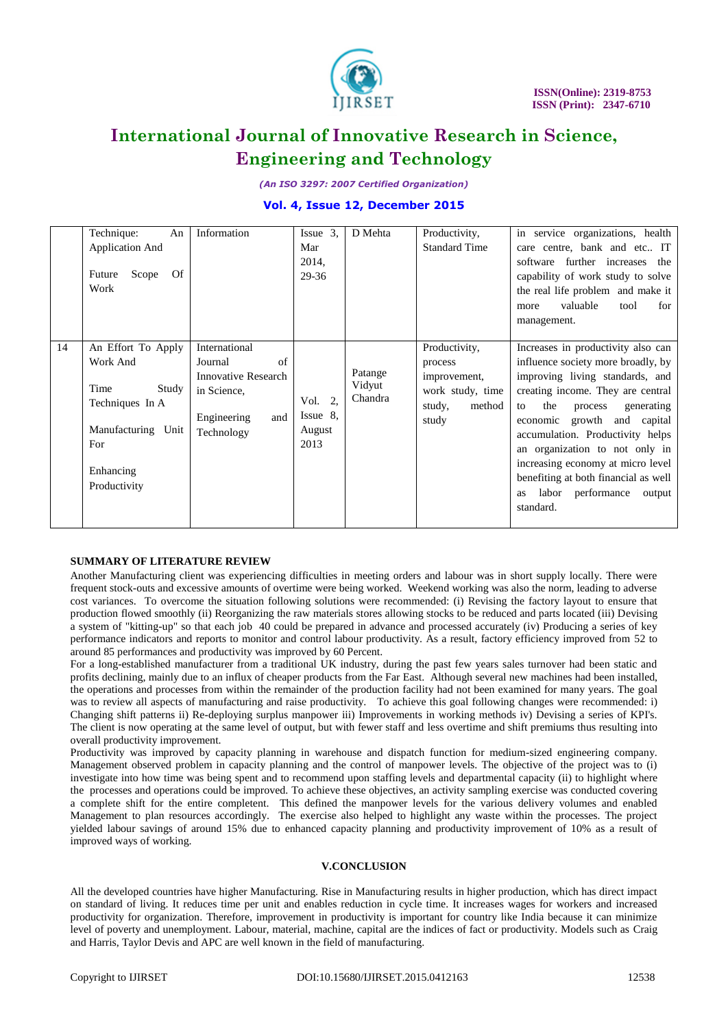

*(An ISO 3297: 2007 Certified Organization)*

## **Vol. 4, Issue 12, December 2015**

|    | Technique:<br>An<br><b>Application And</b><br>Of<br>Scope<br>Future<br>Work                                                  | Information                                                                                                     | $Issue$ 3.<br>Mar<br>2014,<br>29-36      | D Mehta                      | Productivity,<br><b>Standard Time</b>                                                     | in service organizations, health<br>care centre, bank and etc IT<br>software further increases<br>the<br>capability of work study to solve<br>the real life problem and make it<br>valuable<br>tool<br>for<br>more<br>management.                                                                                                                                                                                                |
|----|------------------------------------------------------------------------------------------------------------------------------|-----------------------------------------------------------------------------------------------------------------|------------------------------------------|------------------------------|-------------------------------------------------------------------------------------------|----------------------------------------------------------------------------------------------------------------------------------------------------------------------------------------------------------------------------------------------------------------------------------------------------------------------------------------------------------------------------------------------------------------------------------|
| 14 | An Effort To Apply<br>Work And<br>Time<br>Study<br>Techniques In A<br>Manufacturing Unit<br>For<br>Enhancing<br>Productivity | International<br>of<br>Journal<br><b>Innovative Research</b><br>in Science,<br>Engineering<br>and<br>Technology | 2.<br>Vol.<br>Issue 8.<br>August<br>2013 | Patange<br>Vidyut<br>Chandra | Productivity,<br>process<br>improvement,<br>work study, time<br>study,<br>method<br>study | Increases in productivity also can<br>influence society more broadly, by<br>improving living standards, and<br>creating income. They are central<br>the<br>generating<br>process<br>to<br>economic<br>growth<br>and capital<br>accumulation. Productivity helps<br>an organization to not only in<br>increasing economy at micro level<br>benefiting at both financial as well<br>labor performance<br>output<br>as<br>standard. |

### **SUMMARY OF LITERATURE REVIEW**

Another Manufacturing client was experiencing difficulties in meeting orders and labour was in short supply locally. There were frequent stock-outs and excessive amounts of overtime were being worked. Weekend working was also the norm, leading to adverse cost variances. To overcome the situation following solutions were recommended: (i) Revising the factory layout to ensure that production flowed smoothly (ii) Reorganizing the raw materials stores allowing stocks to be reduced and parts located (iii) Devising a system of "kitting-up" so that each job 40 could be prepared in advance and processed accurately (iv) Producing a series of key performance indicators and reports to monitor and control labour productivity. As a result, factory efficiency improved from 52 to around 85 performances and productivity was improved by 60 Percent.

For a long-established manufacturer from a traditional UK industry, during the past few years sales turnover had been static and profits declining, mainly due to an influx of cheaper products from the Far East. Although several new machines had been installed, the operations and processes from within the remainder of the production facility had not been examined for many years. The goal was to review all aspects of manufacturing and raise productivity. To achieve this goal following changes were recommended: i) Changing shift patterns ii) Re-deploying surplus manpower iii) Improvements in working methods iv) Devising a series of KPI's. The client is now operating at the same level of output, but with fewer staff and less overtime and shift premiums thus resulting into overall productivity improvement.

Productivity was improved by capacity planning in warehouse and dispatch function for medium-sized engineering company. Management observed problem in capacity planning and the control of manpower levels. The objective of the project was to (i) investigate into how time was being spent and to recommend upon staffing levels and departmental capacity (ii) to highlight where the processes and operations could be improved. To achieve these objectives, an activity sampling exercise was conducted covering a complete shift for the entire completent. This defined the manpower levels for the various delivery volumes and enabled Management to plan resources accordingly. The exercise also helped to highlight any waste within the processes. The project yielded labour savings of around 15% due to enhanced capacity planning and productivity improvement of 10% as a result of improved ways of working.

#### **V.CONCLUSION**

All the developed countries have higher Manufacturing. Rise in Manufacturing results in higher production, which has direct impact on standard of living. It reduces time per unit and enables reduction in cycle time. It increases wages for workers and increased productivity for organization. Therefore, improvement in productivity is important for country like India because it can minimize level of poverty and unemployment. Labour, material, machine, capital are the indices of fact or productivity. Models such as Craig and Harris, Taylor Devis and APC are well known in the field of manufacturing.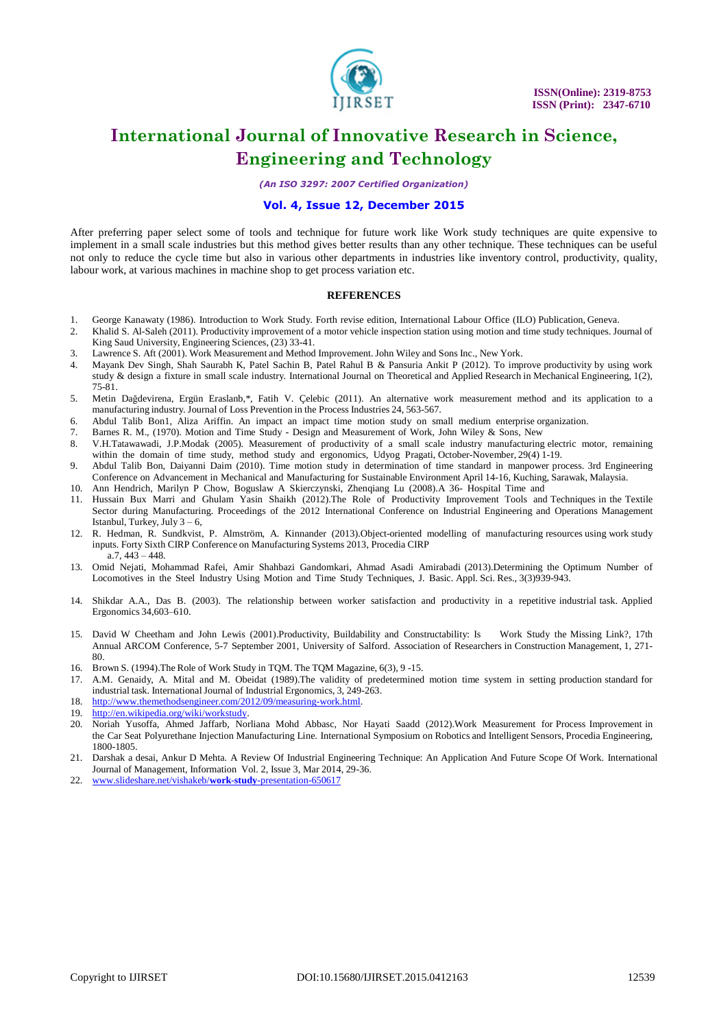

*(An ISO 3297: 2007 Certified Organization)*

### **Vol. 4, Issue 12, December 2015**

After preferring paper select some of tools and technique for future work like Work study techniques are quite expensive to implement in a small scale industries but this method gives better results than any other technique. These techniques can be useful not only to reduce the cycle time but also in various other departments in industries like inventory control, productivity, quality, labour work, at various machines in machine shop to get process variation etc.

#### **REFERENCES**

- 1. George Kanawaty (1986). Introduction to Work Study. Forth revise edition, International Labour Office (ILO) Publication, Geneva.<br>2. Khalid S. Al-Saleh (2011). Productivity improvement of a motor vehicle inspection stati
- 2. Khalid S. Al-Saleh (2011). Productivity improvement of a motor vehicle inspection station using motion and time study techniques. Journal of King Saud University, Engineering Sciences, (23) 33-41.
- 3. Lawrence S. Aft (2001). Work Measurement and Method Improvement.John Wiley and Sons Inc., New York.
- 4. Mayank Dev Singh, Shah Saurabh K, Patel Sachin B, Patel Rahul B & Pansuria Ankit P (2012). To improve productivity by using work study & design a fixture in small scale industry. International Journal on Theoretical and Applied Research in Mechanical Engineering, 1(2), 75-81.
- 5. Metin Dağdevirena, Ergün Eraslanb,\*, Fatih V. Çelebic (2011). An alternative work measurement method and its application to a manufacturing industry. Journal of Loss Prevention in the Process Industries 24, 563-567.
- 6. Abdul Talib Bon1, Aliza Ariffin. An impact an impact time motion study on small medium enterprise organization.
- 7. Barnes R. M., (1970). Motion and Time Study Design and Measurement of Work, John Wiley & Sons, New
- 8. V.H.Tatawawadi, J.P.Modak (2005). Measurement of productivity of a small scale industry manufacturing electric motor, remaining within the domain of time study, method study and ergonomics, Udyog Pragati, October-November, 29(4) 1-19.
- 9. Abdul Talib Bon, Daiyanni Daim (2010). Time motion study in determination of time standard in manpower process. 3rd Engineering Conference on Advancement in Mechanical and Manufacturing for Sustainable Environment April 14-16, Kuching, Sarawak, Malaysia.
- 10. Ann Hendrich, Marilyn P Chow, Boguslaw A Skierczynski, Zhenqiang Lu (2008).A 36- Hospital Time and 11. Hussain Bux Marri and Ghulam Yasin Shaikh (2012).The Role of Productivity Improvement Tools and Techniques in the Textile Sector during Manufacturing. Proceedings of the 2012 International Conference on Industrial Engineering and Operations Management
- Istanbul, Turkey, July 3 6, 12. R. Hedman, R. Sundkvist, P. Almström, A. Kinnander (2013).Object-oriented modelling of manufacturing resources using work study inputs. Forty Sixth CIRP Conference on Manufacturing Systems 2013, Procedia CIRP a.7, 443 – 448.
- 13. Omid Nejati, Mohammad Rafei, Amir Shahbazi Gandomkari, Ahmad Asadi Amirabadi (2013).Determining the Optimum Number of Locomotives in the Steel Industry Using Motion and Time Study Techniques, J. Basic. Appl. Sci. Res., 3(3)939-943.
- 14. Shikdar A.A., Das B. (2003). The relationship between worker satisfaction and productivity in a repetitive industrial task. Applied Ergonomics 34,603–610.
- 15. David W Cheetham and John Lewis (2001).Productivity, Buildability and Constructability: Is Work Study the Missing Link?, 17th Annual ARCOM Conference, 5-7 September 2001, University of Salford. Association of Researchers in Construction Management, 1, 271- 80.
- 16. Brown S. (1994).The Role of Work Study in TQM. The TQM Magazine, 6(3), 9 -15.
- 17. A.M. Genaidy, A. Mital and M. Obeidat (1989).The validity of predetermined motion time system in setting production standard for industrial task. International Journal of Industrial Ergonomics, 3, 249-263.
- 18. [http://www.themethodsengineer.com/2012/09/measuring-work.html.](http://www.themethodsengineer.com/2012/09/measuring-work.html)
- 19. [http://en.wikipedia.org/wiki/workstudy.](http://en.wikipedia.org/wiki/workstudy)
- 20. Noriah Yusoffa, Ahmed Jaffarb, Norliana Mohd Abbasc, Nor Hayati Saadd (2012).Work Measurement for Process Improvement in the Car Seat Polyurethane Injection Manufacturing Line. International Symposium on Robotics and Intelligent Sensors, Procedia Engineering, 1800-1805.
- 21. Darshak a desai, Ankur D Mehta. A Review Of Industrial Engineering Technique: An Application And Future Scope Of Work. International Journal of Management, Information Vol. 2, Issue 3, Mar 2014, 29-36.
- 22. [www.slideshare.net/vishakeb/](http://www.slideshare.net/vishakeb/work-study-presentation-650617)**work**-**study**-presentation-650617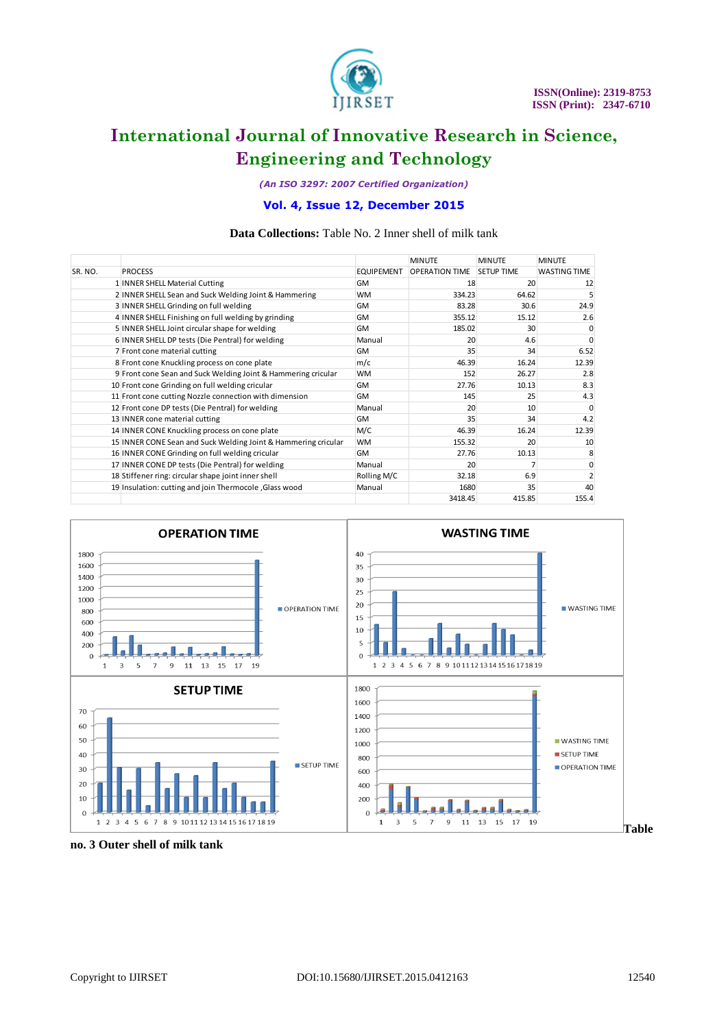

*(An ISO 3297: 2007 Certified Organization)*

### **Vol. 4, Issue 12, December 2015**

### **Data Collections:** Table No. 2 Inner shell of milk tank

|         |                                                                |                   | <b>MINUTE</b>         | <b>MINUTE</b>     | <b>MINUTE</b>       |
|---------|----------------------------------------------------------------|-------------------|-----------------------|-------------------|---------------------|
| SR. NO. | <b>PROCESS</b>                                                 | <b>EQUIPEMENT</b> | <b>OPERATION TIME</b> | <b>SETUP TIME</b> | <b>WASTING TIME</b> |
|         | 1 INNER SHELL Material Cutting                                 | <b>GM</b>         | 18                    | 20                | 12                  |
|         | 2 INNER SHELL Sean and Suck Welding Joint & Hammering          | <b>WM</b>         | 334.23                | 64.62             |                     |
|         | 3 INNER SHELL Grinding on full welding                         | <b>GM</b>         | 83.28                 | 30.6              | 24.9                |
|         | 4 INNER SHELL Finishing on full welding by grinding            | <b>GM</b>         | 355.12                | 15.12             | 2.6                 |
|         | 5 INNER SHELL Joint circular shape for welding                 | <b>GM</b>         | 185.02                | 30                | $\Omega$            |
|         | 6 INNER SHELL DP tests (Die Pentral) for welding               | Manual            | 20                    | 4.6               | $\Omega$            |
|         | 7 Front cone material cutting                                  | <b>GM</b>         | 35                    | 34                | 6.52                |
|         | 8 Front cone Knuckling process on cone plate                   | m/c               | 46.39                 | 16.24             | 12.39               |
|         | 9 Front cone Sean and Suck Welding Joint & Hammering cricular  | <b>WM</b>         | 152                   | 26.27             | 2.8                 |
|         | 10 Front cone Grinding on full welding cricular                | <b>GM</b>         | 27.76                 | 10.13             | 8.3                 |
|         | 11 Front cone cutting Nozzle connection with dimension         | <b>GM</b>         | 145                   | 25                | 4.3                 |
|         | 12 Front cone DP tests (Die Pentral) for welding               | Manual            | 20                    | 10                | $\Omega$            |
|         | 13 INNER cone material cutting                                 | <b>GM</b>         | 35                    | 34                | 4.2                 |
|         | 14 INNER CONE Knuckling process on cone plate                  | M/C               | 46.39                 | 16.24             | 12.39               |
|         | 15 INNER CONE Sean and Suck Welding Joint & Hammering cricular | <b>WM</b>         | 155.32                | 20                | 10                  |
|         | 16 INNER CONE Grinding on full welding cricular                | <b>GM</b>         | 27.76                 | 10.13             |                     |
|         | 17 INNER CONE DP tests (Die Pentral) for welding               | Manual            | 20                    |                   |                     |
|         | 18 Stiffener ring: circular shape joint inner shell            | Rolling M/C       | 32.18                 | 6.9               |                     |
|         | 19 Insulation: cutting and join Thermocole, Glass wood         | Manual            | 1680                  | 35                | 40                  |
|         |                                                                |                   | 3418.45               | 415.85            | 155.4               |



**no. 3 Outer shell of milk tank**